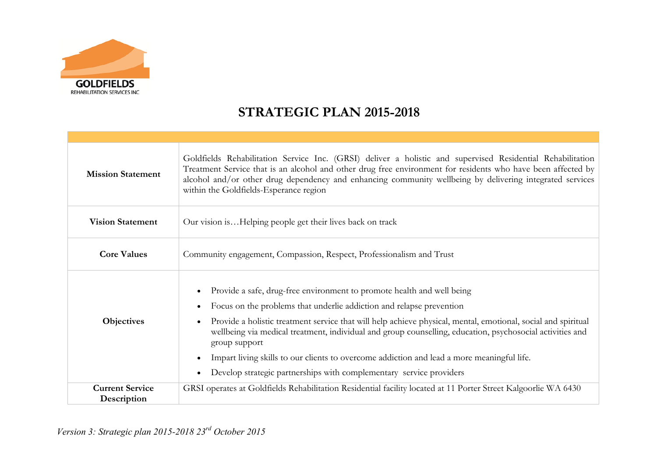

## **STRATEGIC PLAN 2015-2018**

| <b>Mission Statement</b>              | Goldfields Rehabilitation Service Inc. (GRSI) deliver a holistic and supervised Residential Rehabilitation<br>Treatment Service that is an alcohol and other drug free environment for residents who have been affected by<br>alcohol and/or other drug dependency and enhancing community wellbeing by delivering integrated services<br>within the Goldfields-Esperance region                                                                                                                                                                                   |  |
|---------------------------------------|--------------------------------------------------------------------------------------------------------------------------------------------------------------------------------------------------------------------------------------------------------------------------------------------------------------------------------------------------------------------------------------------------------------------------------------------------------------------------------------------------------------------------------------------------------------------|--|
| <b>Vision Statement</b>               | Our vision isHelping people get their lives back on track                                                                                                                                                                                                                                                                                                                                                                                                                                                                                                          |  |
| <b>Core Values</b>                    | Community engagement, Compassion, Respect, Professionalism and Trust                                                                                                                                                                                                                                                                                                                                                                                                                                                                                               |  |
| <b>Objectives</b>                     | Provide a safe, drug-free environment to promote health and well being<br>Focus on the problems that underlie addiction and relapse prevention<br>Provide a holistic treatment service that will help achieve physical, mental, emotional, social and spiritual<br>wellbeing via medical treatment, individual and group counselling, education, psychosocial activities and<br>group support<br>Impart living skills to our clients to overcome addiction and lead a more meaningful life.<br>Develop strategic partnerships with complementary service providers |  |
| <b>Current Service</b><br>Description | GRSI operates at Goldfields Rehabilitation Residential facility located at 11 Porter Street Kalgoorlie WA 6430                                                                                                                                                                                                                                                                                                                                                                                                                                                     |  |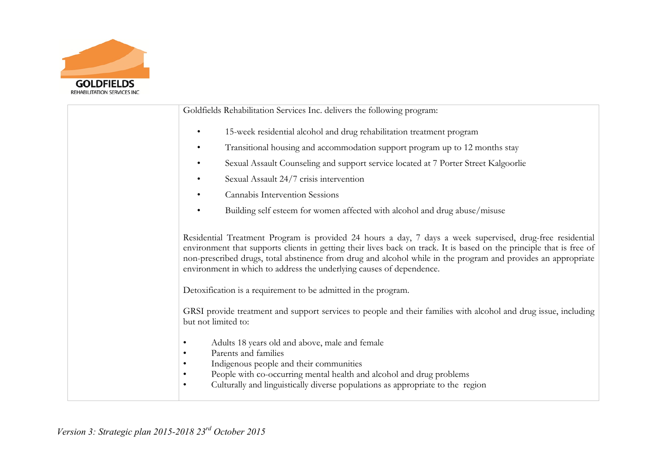

| Goldfields Rehabilitation Services Inc. delivers the following program:                                                                                                                                                                                                                                                                                                                                                                                                                                                                                                                                         |
|-----------------------------------------------------------------------------------------------------------------------------------------------------------------------------------------------------------------------------------------------------------------------------------------------------------------------------------------------------------------------------------------------------------------------------------------------------------------------------------------------------------------------------------------------------------------------------------------------------------------|
| 15-week residential alcohol and drug rehabilitation treatment program<br>$\bullet$                                                                                                                                                                                                                                                                                                                                                                                                                                                                                                                              |
| Transitional housing and accommodation support program up to 12 months stay<br>$\bullet$                                                                                                                                                                                                                                                                                                                                                                                                                                                                                                                        |
| Sexual Assault Counseling and support service located at 7 Porter Street Kalgoorlie<br>$\bullet$                                                                                                                                                                                                                                                                                                                                                                                                                                                                                                                |
| Sexual Assault 24/7 crisis intervention<br>$\bullet$                                                                                                                                                                                                                                                                                                                                                                                                                                                                                                                                                            |
| Cannabis Intervention Sessions                                                                                                                                                                                                                                                                                                                                                                                                                                                                                                                                                                                  |
| Building self esteem for women affected with alcohol and drug abuse/misuse<br>$\bullet$                                                                                                                                                                                                                                                                                                                                                                                                                                                                                                                         |
| Residential Treatment Program is provided 24 hours a day, 7 days a week supervised, drug-free residential<br>environment that supports clients in getting their lives back on track. It is based on the principle that is free of<br>non-prescribed drugs, total abstinence from drug and alcohol while in the program and provides an appropriate<br>environment in which to address the underlying causes of dependence.<br>Detoxification is a requirement to be admitted in the program.<br>GRSI provide treatment and support services to people and their families with alcohol and drug issue, including |
| but not limited to:<br>Adults 18 years old and above, male and female                                                                                                                                                                                                                                                                                                                                                                                                                                                                                                                                           |
| Parents and families<br>$\bullet$<br>Indigenous people and their communities<br>٠<br>People with co-occurring mental health and alcohol and drug problems<br>٠<br>Culturally and linguistically diverse populations as appropriate to the region<br>$\bullet$                                                                                                                                                                                                                                                                                                                                                   |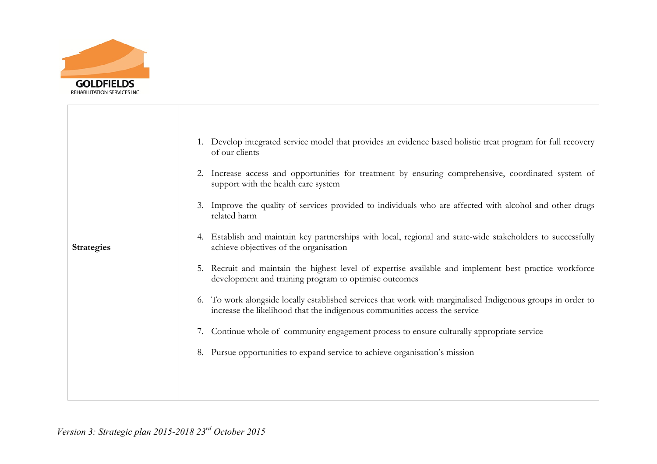

|                   | 1. Develop integrated service model that provides an evidence based holistic treat program for full recovery<br>of our clients                                                            |
|-------------------|-------------------------------------------------------------------------------------------------------------------------------------------------------------------------------------------|
|                   | 2. Increase access and opportunities for treatment by ensuring comprehensive, coordinated system of<br>support with the health care system                                                |
|                   | Improve the quality of services provided to individuals who are affected with alcohol and other drugs<br>3.<br>related harm                                                               |
| <b>Strategies</b> | 4. Establish and maintain key partnerships with local, regional and state-wide stakeholders to successfully<br>achieve objectives of the organisation                                     |
|                   | Recruit and maintain the highest level of expertise available and implement best practice workforce<br>5.<br>development and training program to optimise outcomes                        |
|                   | 6. To work alongside locally established services that work with marginalised Indigenous groups in order to<br>increase the likelihood that the indigenous communities access the service |
|                   | Continue whole of community engagement process to ensure culturally appropriate service<br>7.                                                                                             |
|                   | 8. Pursue opportunities to expand service to achieve organisation's mission                                                                                                               |
|                   |                                                                                                                                                                                           |
|                   |                                                                                                                                                                                           |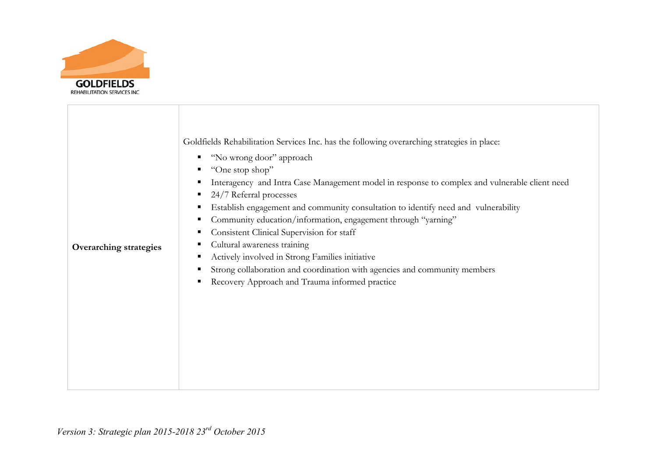

| Goldfields Rehabilitation Services Inc. has the following overarching strategies in place:<br>" "No wrong door" approach<br>"One stop shop"<br>24/7 Referral processes<br>Establish engagement and community consultation to identify need and vulnerability<br>Community education/information, engagement through "yarning"<br>ш<br>Consistent Clinical Supervision for staff<br>ш<br>Cultural awareness training<br>п<br><b>Overarching strategies</b><br>Actively involved in Strong Families initiative<br>٠<br>Strong collaboration and coordination with agencies and community members<br>Recovery Approach and Trauma informed practice<br>п | Interagency and Intra Case Management model in response to complex and vulnerable client need |
|-------------------------------------------------------------------------------------------------------------------------------------------------------------------------------------------------------------------------------------------------------------------------------------------------------------------------------------------------------------------------------------------------------------------------------------------------------------------------------------------------------------------------------------------------------------------------------------------------------------------------------------------------------|-----------------------------------------------------------------------------------------------|
|-------------------------------------------------------------------------------------------------------------------------------------------------------------------------------------------------------------------------------------------------------------------------------------------------------------------------------------------------------------------------------------------------------------------------------------------------------------------------------------------------------------------------------------------------------------------------------------------------------------------------------------------------------|-----------------------------------------------------------------------------------------------|